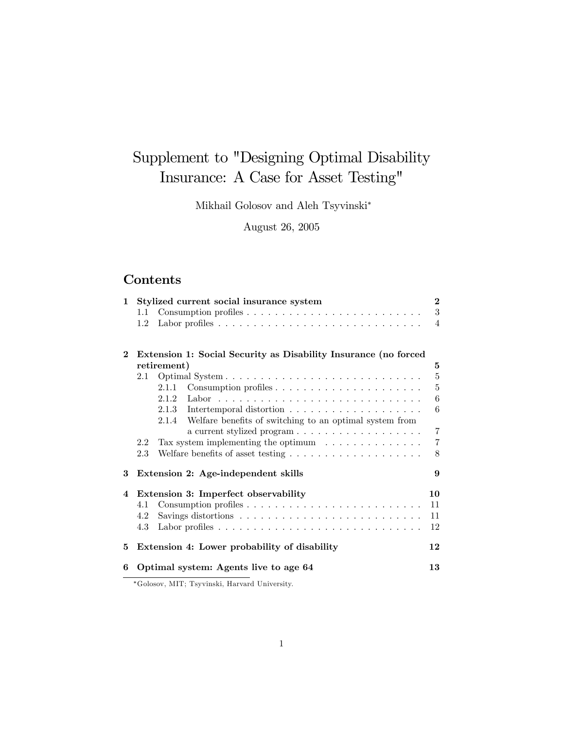# Supplement to "Designing Optimal Disability Insurance: A Case for Asset Testing"

Mikhail Golosov and Aleh Tsyvinski

August 26, 2005

## Contents

| $\mathbf{1}$ |     | Stylized current social insurance system                                                                                                                                                                                       | $\mathbf{2}$   |
|--------------|-----|--------------------------------------------------------------------------------------------------------------------------------------------------------------------------------------------------------------------------------|----------------|
|              | 1.1 |                                                                                                                                                                                                                                | 3              |
|              | 1.2 |                                                                                                                                                                                                                                | 4              |
| $\bf{2}$     |     | Extension 1: Social Security as Disability Insurance (no forced                                                                                                                                                                |                |
|              |     | retirement)                                                                                                                                                                                                                    | 5              |
|              | 2.1 |                                                                                                                                                                                                                                | $5\,$          |
|              |     | 2.1.1                                                                                                                                                                                                                          | $\overline{5}$ |
|              |     |                                                                                                                                                                                                                                | 6              |
|              |     |                                                                                                                                                                                                                                | 6              |
|              |     | 2.1.4 Welfare benefits of switching to an optimal system from                                                                                                                                                                  |                |
|              |     |                                                                                                                                                                                                                                | $\overline{7}$ |
|              | 2.2 | Tax system implementing the optimum $\ldots \ldots \ldots \ldots$                                                                                                                                                              | $\overline{7}$ |
|              | 2.3 | Welfare benefits of asset testing $\ldots \ldots \ldots \ldots \ldots \ldots$                                                                                                                                                  | 8              |
| 3            |     | Extension 2: Age-independent skills                                                                                                                                                                                            | 9              |
| 4            |     | Extension 3: Imperfect observability                                                                                                                                                                                           | 10             |
|              | 4.1 |                                                                                                                                                                                                                                | 11             |
|              | 4.2 |                                                                                                                                                                                                                                | 11             |
|              | 4.3 |                                                                                                                                                                                                                                | 12             |
| 5.           |     | Extension 4: Lower probability of disability                                                                                                                                                                                   | 12             |
| 6            |     | Optimal system: Agents live to age 64                                                                                                                                                                                          | 13             |
|              |     | the community of the community of the community of the community of the community of the community of the community of the community of the community of the community of the community of the community of the community of t |                |

Golosov, MIT; Tsyvinski, Harvard University.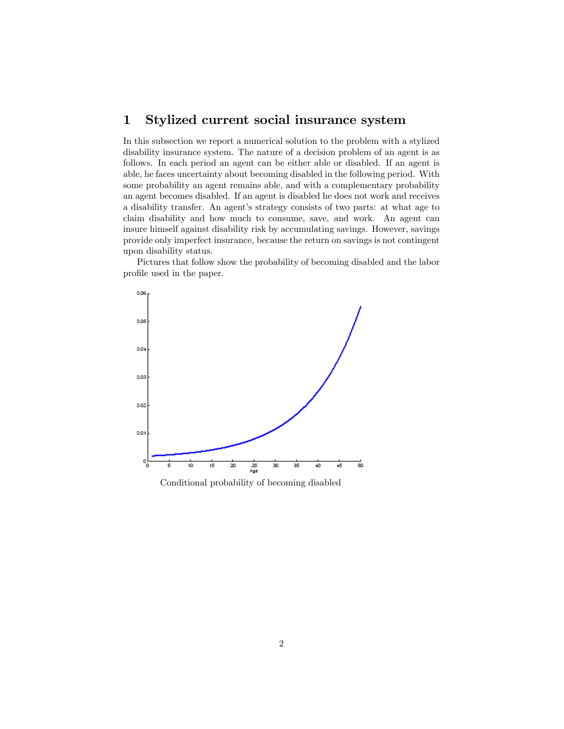### 1 Stylized current social insurance system

In this subsection we report a numerical solution to the problem with a stylized disability insurance system. The nature of a decision problem of an agent is as follows. In each period an agent can be either able or disabled. If an agent is able, he faces uncertainty about becoming disabled in the following period. With some probability an agent remains able, and with a complementary probability an agent becomes disabled. If an agent is disabled he does not work and receives a disability transfer. An agent's strategy consists of two parts: at what age to claim disability and how much to consume, save, and work. An agent can insure himself against disability risk by accumulating savings. However, savings provide only imperfect insurance, because the return on savings is not contingent upon disability status.

Pictures that follow show the probability of becoming disabled and the labor profile used in the paper.



Conditional probability of becoming disabled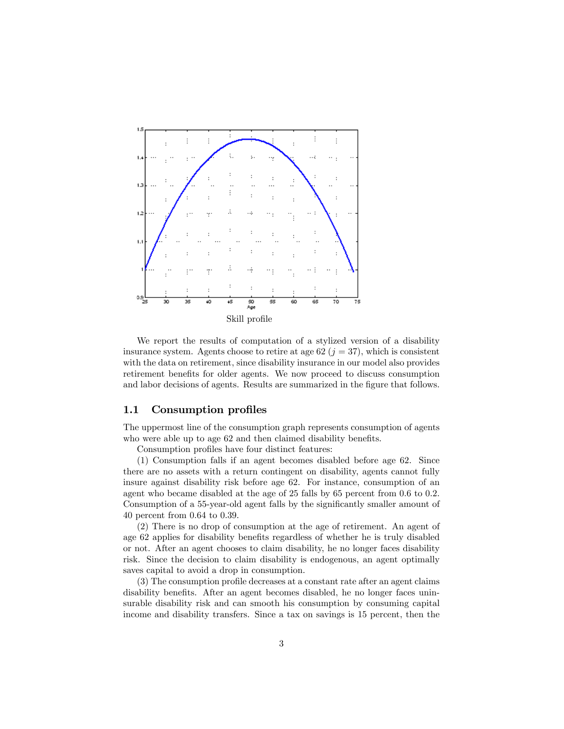

We report the results of computation of a stylized version of a disability insurance system. Agents choose to retire at age 62 ( $j = 37$ ), which is consistent with the data on retirement, since disability insurance in our model also provides retirement benefits for older agents. We now proceed to discuss consumption and labor decisions of agents. Results are summarized in the figure that follows.

#### 1.1 Consumption profiles

The uppermost line of the consumption graph represents consumption of agents who were able up to age 62 and then claimed disability benefits.

Consumption profiles have four distinct features:

(1) Consumption falls if an agent becomes disabled before age 62. Since there are no assets with a return contingent on disability, agents cannot fully insure against disability risk before age 62. For instance, consumption of an agent who became disabled at the age of 25 falls by 65 percent from 0.6 to 0.2. Consumption of a 55-year-old agent falls by the significantly smaller amount of 40 percent from 0.64 to 0.39.

(2) There is no drop of consumption at the age of retirement. An agent of age 62 applies for disability benefits regardless of whether he is truly disabled or not. After an agent chooses to claim disability, he no longer faces disability risk. Since the decision to claim disability is endogenous, an agent optimally saves capital to avoid a drop in consumption.

 $(3)$  The consumption profile decreases at a constant rate after an agent claims disability benefits. After an agent becomes disabled, he no longer faces uninsurable disability risk and can smooth his consumption by consuming capital income and disability transfers. Since a tax on savings is 15 percent, then the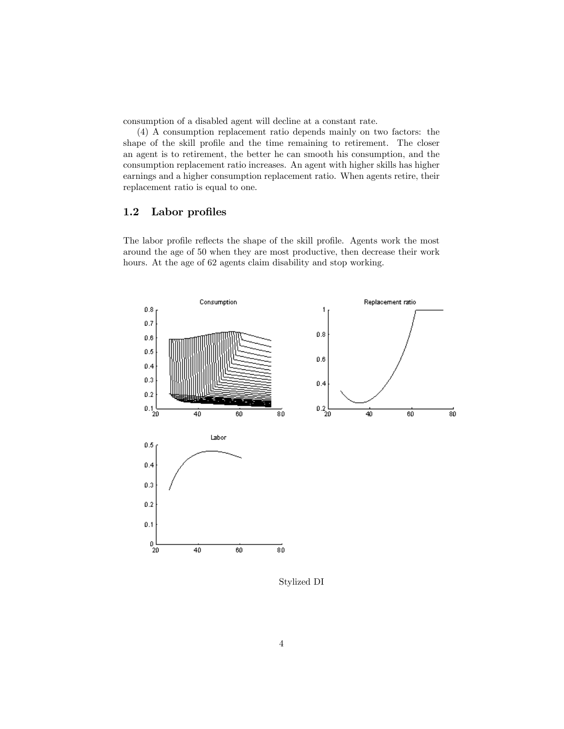consumption of a disabled agent will decline at a constant rate.

(4) A consumption replacement ratio depends mainly on two factors: the shape of the skill profile and the time remaining to retirement. The closer an agent is to retirement, the better he can smooth his consumption, and the consumption replacement ratio increases. An agent with higher skills has higher earnings and a higher consumption replacement ratio. When agents retire, their replacement ratio is equal to one.

#### 1.2 Labor profiles

The labor profile reflects the shape of the skill profile. Agents work the most around the age of 50 when they are most productive, then decrease their work hours. At the age of 62 agents claim disability and stop working.



Stylized DI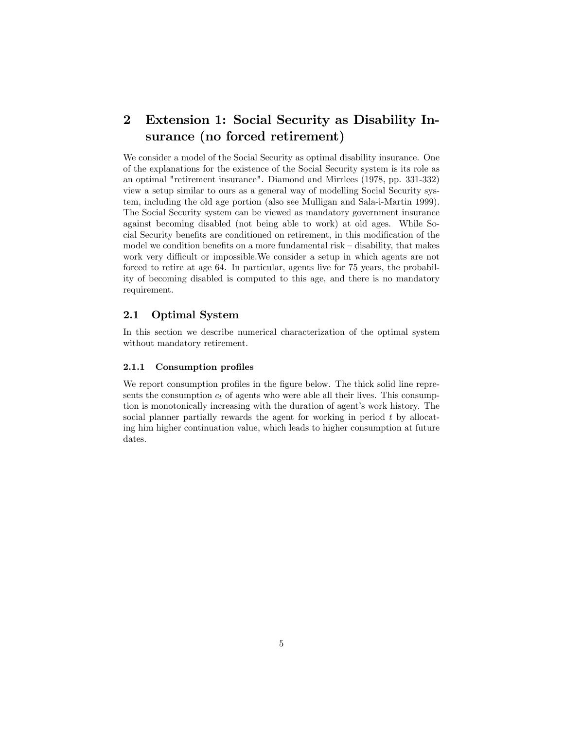## 2 Extension 1: Social Security as Disability Insurance (no forced retirement)

We consider a model of the Social Security as optimal disability insurance. One of the explanations for the existence of the Social Security system is its role as an optimal "retirement insurance". Diamond and Mirrlees (1978, pp. 331-332) view a setup similar to ours as a general way of modelling Social Security system, including the old age portion (also see Mulligan and Sala-i-Martin 1999). The Social Security system can be viewed as mandatory government insurance against becoming disabled (not being able to work) at old ages. While Social Security benefits are conditioned on retirement, in this modification of the model we condition benefits on a more fundamental risk  $-$  disability, that makes work very difficult or impossible. We consider a setup in which agents are not forced to retire at age 64. In particular, agents live for 75 years, the probability of becoming disabled is computed to this age, and there is no mandatory requirement.

#### 2.1 Optimal System

In this section we describe numerical characterization of the optimal system without mandatory retirement.

#### 2.1.1 Consumption profiles

We report consumption profiles in the figure below. The thick solid line represents the consumption  $c_t$  of agents who were able all their lives. This consumption is monotonically increasing with the duration of agent's work history. The social planner partially rewards the agent for working in period t by allocating him higher continuation value, which leads to higher consumption at future dates.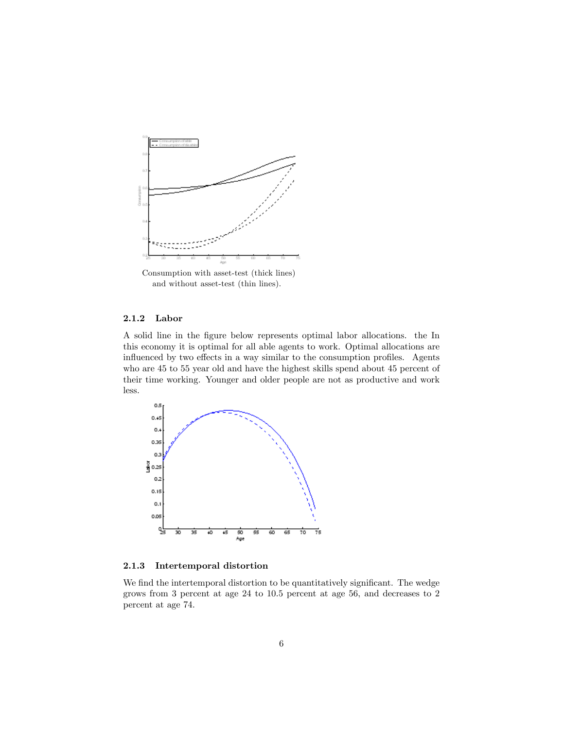

and without asset-test (thin lines).

#### 2.1.2 Labor

A solid line in the Ögure below represents optimal labor allocations. the In this economy it is optimal for all able agents to work. Optimal allocations are influenced by two effects in a way similar to the consumption profiles. Agents who are 45 to 55 year old and have the highest skills spend about 45 percent of their time working. Younger and older people are not as productive and work less.



2.1.3 Intertemporal distortion

We find the intertemporal distortion to be quantitatively significant. The wedge grows from 3 percent at age 24 to 10.5 percent at age 56, and decreases to 2 percent at age 74.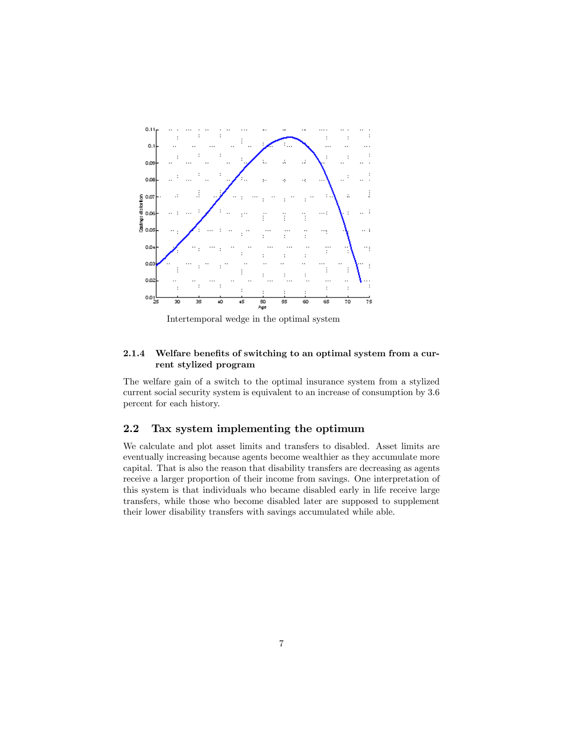![](_page_6_Figure_0.jpeg)

Intertemporal wedge in the optimal system

#### 2.1.4 Welfare benefits of switching to an optimal system from a current stylized program

The welfare gain of a switch to the optimal insurance system from a stylized current social security system is equivalent to an increase of consumption by 3.6 percent for each history.

#### 2.2 Tax system implementing the optimum

We calculate and plot asset limits and transfers to disabled. Asset limits are eventually increasing because agents become wealthier as they accumulate more capital. That is also the reason that disability transfers are decreasing as agents receive a larger proportion of their income from savings. One interpretation of this system is that individuals who became disabled early in life receive large transfers, while those who become disabled later are supposed to supplement their lower disability transfers with savings accumulated while able.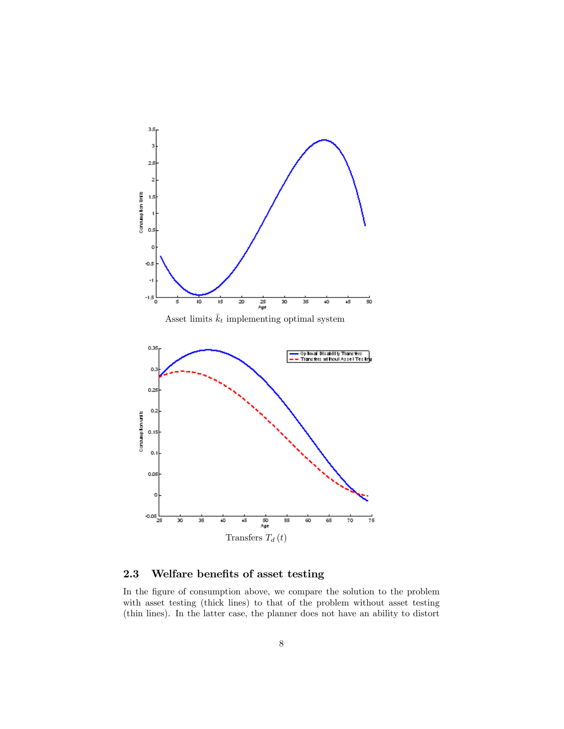![](_page_7_Figure_0.jpeg)

### 2.3 Welfare benefits of asset testing

In the figure of consumption above, we compare the solution to the problem with asset testing (thick lines) to that of the problem without asset testing (thin lines). In the latter case, the planner does not have an ability to distort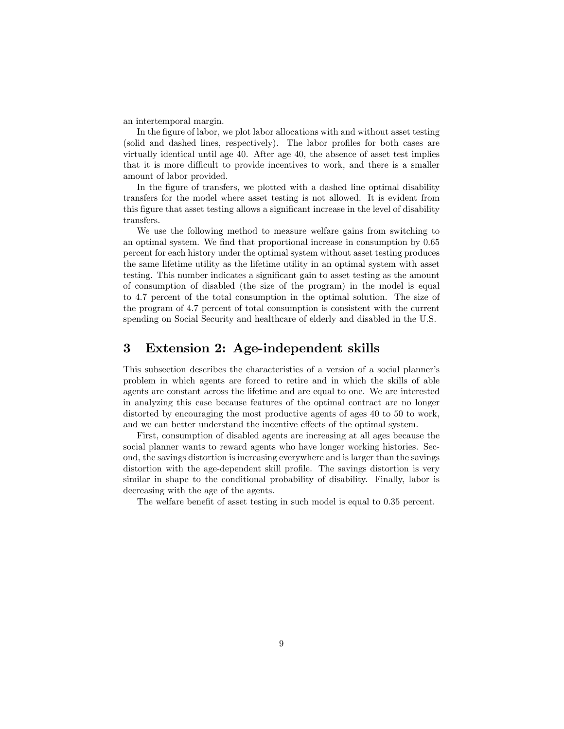an intertemporal margin.

In the figure of labor, we plot labor allocations with and without asset testing (solid and dashed lines, respectively). The labor profiles for both cases are virtually identical until age 40. After age 40, the absence of asset test implies that it is more difficult to provide incentives to work, and there is a smaller amount of labor provided.

In the figure of transfers, we plotted with a dashed line optimal disability transfers for the model where asset testing is not allowed. It is evident from this figure that asset testing allows a significant increase in the level of disability transfers.

We use the following method to measure welfare gains from switching to an optimal system. We find that proportional increase in consumption by 0.65 percent for each history under the optimal system without asset testing produces the same lifetime utility as the lifetime utility in an optimal system with asset testing. This number indicates a significant gain to asset testing as the amount of consumption of disabled (the size of the program) in the model is equal to 4.7 percent of the total consumption in the optimal solution. The size of the program of 4.7 percent of total consumption is consistent with the current spending on Social Security and healthcare of elderly and disabled in the U.S.

### 3 Extension 2: Age-independent skills

This subsection describes the characteristics of a version of a social planner's problem in which agents are forced to retire and in which the skills of able agents are constant across the lifetime and are equal to one. We are interested in analyzing this case because features of the optimal contract are no longer distorted by encouraging the most productive agents of ages 40 to 50 to work, and we can better understand the incentive effects of the optimal system.

First, consumption of disabled agents are increasing at all ages because the social planner wants to reward agents who have longer working histories. Second, the savings distortion is increasing everywhere and is larger than the savings distortion with the age-dependent skill profile. The savings distortion is very similar in shape to the conditional probability of disability. Finally, labor is decreasing with the age of the agents.

The welfare benefit of asset testing in such model is equal to 0.35 percent.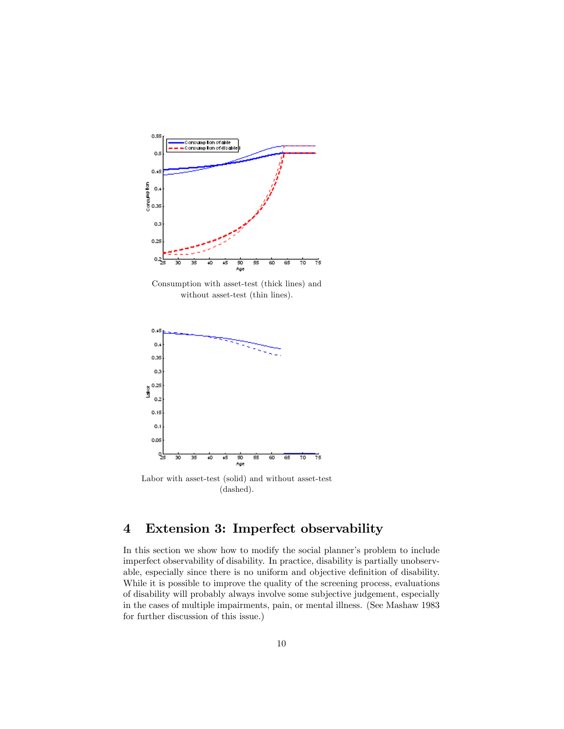![](_page_9_Figure_0.jpeg)

Consumption with asset-test (thick lines) and without asset-test (thin lines).

![](_page_9_Figure_2.jpeg)

Labor with asset-test (solid) and without asset-test (dashed).

# 4 Extension 3: Imperfect observability

In this section we show how to modify the social planner's problem to include imperfect observability of disability. In practice, disability is partially unobservable, especially since there is no uniform and objective definition of disability. While it is possible to improve the quality of the screening process, evaluations of disability will probably always involve some subjective judgement, especially in the cases of multiple impairments, pain, or mental illness. (See Mashaw 1983 for further discussion of this issue.)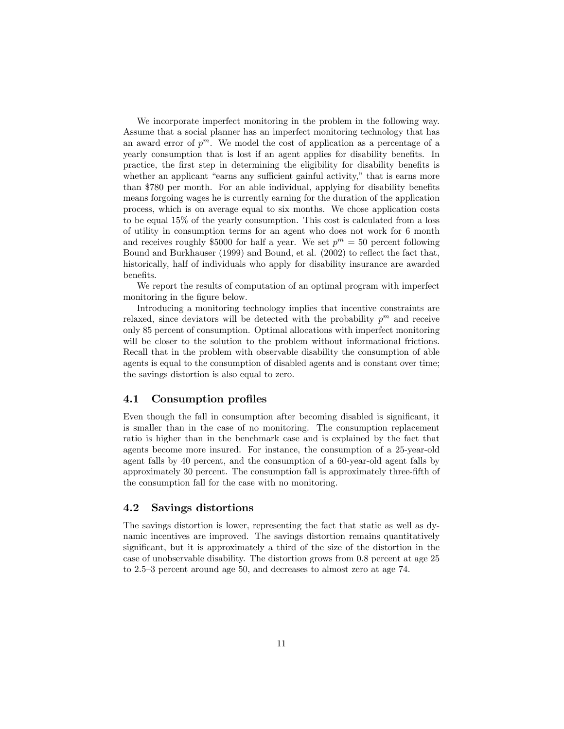We incorporate imperfect monitoring in the problem in the following way. Assume that a social planner has an imperfect monitoring technology that has an award error of  $p^m$ . We model the cost of application as a percentage of a yearly consumption that is lost if an agent applies for disability benefits. In practice, the first step in determining the eligibility for disability benefits is whether an applicant "earns any sufficient gainful activity," that is earns more than \$780 per month. For an able individual, applying for disability benefits means forgoing wages he is currently earning for the duration of the application process, which is on average equal to six months. We chose application costs to be equal 15% of the yearly consumption. This cost is calculated from a loss of utility in consumption terms for an agent who does not work for 6 month and receives roughly \$5000 for half a year. We set  $p^m = 50$  percent following Bound and Burkhauser (1999) and Bound, et al. (2002) to reflect the fact that, historically, half of individuals who apply for disability insurance are awarded benefits.

We report the results of computation of an optimal program with imperfect monitoring in the figure below.

Introducing a monitoring technology implies that incentive constraints are relaxed, since deviators will be detected with the probability  $p^m$  and receive only 85 percent of consumption. Optimal allocations with imperfect monitoring will be closer to the solution to the problem without informational frictions. Recall that in the problem with observable disability the consumption of able agents is equal to the consumption of disabled agents and is constant over time; the savings distortion is also equal to zero.

#### 4.1 Consumption profiles

Even though the fall in consumption after becoming disabled is significant, it is smaller than in the case of no monitoring. The consumption replacement ratio is higher than in the benchmark case and is explained by the fact that agents become more insured. For instance, the consumption of a 25-year-old agent falls by 40 percent, and the consumption of a 60-year-old agent falls by approximately 30 percent. The consumption fall is approximately three-Öfth of the consumption fall for the case with no monitoring.

#### 4.2 Savings distortions

The savings distortion is lower, representing the fact that static as well as dynamic incentives are improved. The savings distortion remains quantitatively significant, but it is approximately a third of the size of the distortion in the case of unobservable disability. The distortion grows from 0:8 percent at age 25 to  $2.5-3$  percent around age 50, and decreases to almost zero at age 74.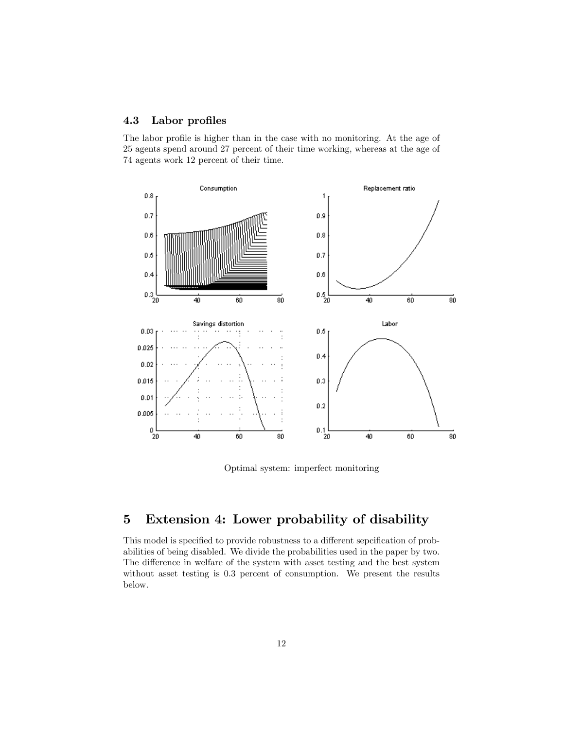#### 4.3 Labor profiles

The labor profile is higher than in the case with no monitoring. At the age of 25 agents spend around 27 percent of their time working, whereas at the age of 74 agents work 12 percent of their time.

![](_page_11_Figure_2.jpeg)

Optimal system: imperfect monitoring

## 5 Extension 4: Lower probability of disability

This model is specified to provide robustness to a different sepcification of probabilities of being disabled. We divide the probabilities used in the paper by two. The difference in welfare of the system with asset testing and the best system without asset testing is 0.3 percent of consumption. We present the results below.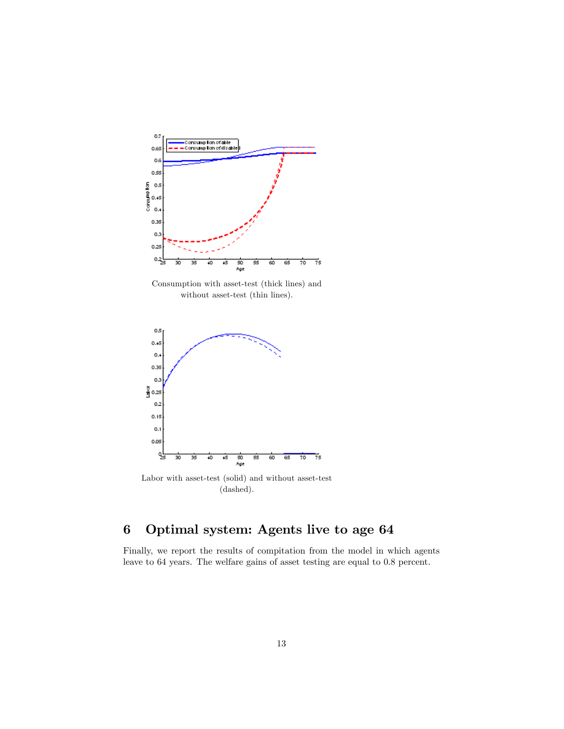![](_page_12_Figure_0.jpeg)

Consumption with asset-test (thick lines) and without asset-test (thin lines).

![](_page_12_Figure_2.jpeg)

Labor with asset-test (solid) and without asset-test (dashed).

# 6 Optimal system: Agents live to age 64

Finally, we report the results of compitation from the model in which agents leave to 64 years. The welfare gains of asset testing are equal to 0.8 percent.